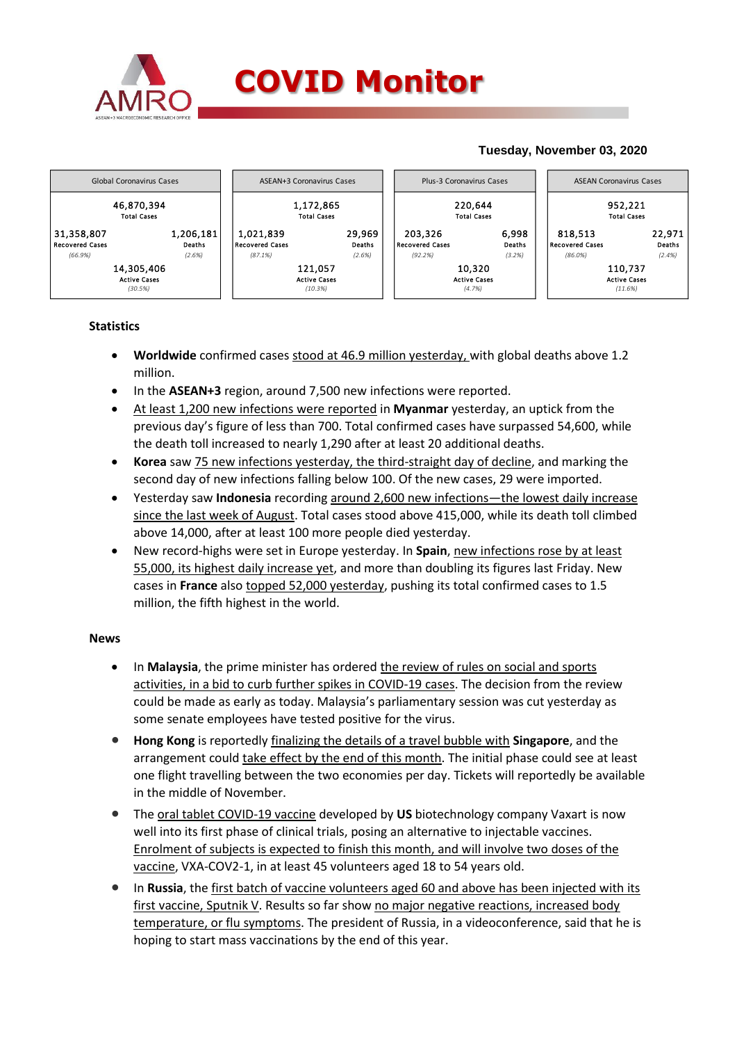

## **Tuesday, November 03, 2020**



## **Statistics**

- **Worldwide** confirmed cases stood at 46.9 million yesterday, with global deaths above 1.2 million.
- In the **ASEAN+3** region, around 7,500 new infections were reported.
- At least 1,200 new infections were reported in **Myanmar** yesterday, an uptick from the previous day's figure of less than 700. Total confirmed cases have surpassed 54,600, while the death toll increased to nearly 1,290 after at least 20 additional deaths.
- **Korea** saw 75 new infections yesterday, the third-straight day of decline, and marking the second day of new infections falling below 100. Of the new cases, 29 were imported.
- Yesterday saw **Indonesia** recording around 2,600 new infections—the lowest daily increase since the last week of August. Total cases stood above 415,000, while its death toll climbed above 14,000, after at least 100 more people died yesterday.
- New record-highs were set in Europe yesterday. In **Spain**, new infections rose by at least 55,000, its highest daily increase yet, and more than doubling its figures last Friday. New cases in **France** also topped 52,000 yesterday, pushing its total confirmed cases to 1.5 million, the fifth highest in the world.

## **News**

- In **Malaysia**, the prime minister has ordered the review of rules on social and sports activities, in a bid to curb further spikes in COVID-19 cases. The decision from the review could be made as early as today. Malaysia's parliamentary session was cut yesterday as some senate employees have tested positive for the virus.
- **Hong Kong** is reportedly finalizing the details of a travel bubble with **Singapore**, and the arrangement could take effect by the end of this month. The initial phase could see at least one flight travelling between the two economies per day. Tickets will reportedly be available in the middle of November.
- The oral tablet COVID-19 vaccine developed by **US** biotechnology company Vaxart is now well into its first phase of clinical trials, posing an alternative to injectable vaccines. Enrolment of subjects is expected to finish this month, and will involve two doses of the vaccine, VXA-COV2-1, in at least 45 volunteers aged 18 to 54 years old.
- In **Russia**, the first batch of vaccine volunteers aged 60 and above has been injected with its first vaccine, Sputnik V. Results so far show no major negative reactions, increased body temperature, or flu symptoms. The president of Russia, in a videoconference, said that he is hoping to start mass vaccinations by the end of this year.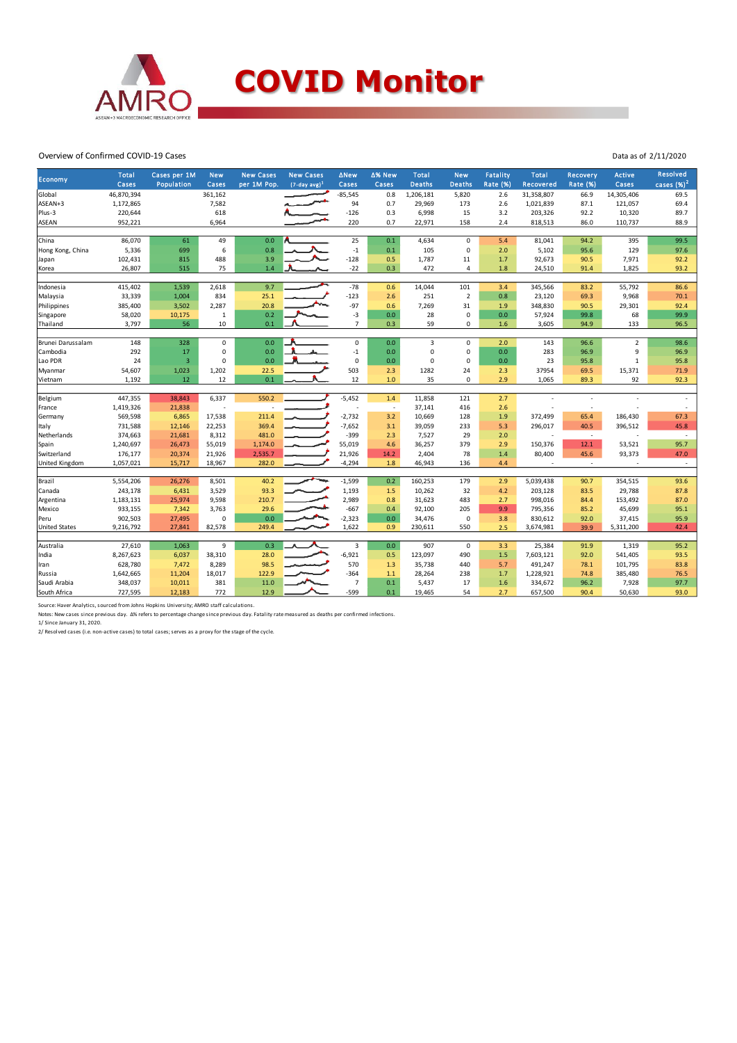

Overview of Confirmed COVID-19 Cases

| Economy              | <b>Total</b> | Cases per 1M   | <b>New</b>     | <b>New Cases</b> | <b>New Cases</b> | <b>ANew</b>    | ∆% New         | <b>Total</b>  | <b>New</b>     | <b>Fatality</b> | <b>Total</b>   | Recovery                 | <b>Active</b>  | <b>Resolved</b>          |
|----------------------|--------------|----------------|----------------|------------------|------------------|----------------|----------------|---------------|----------------|-----------------|----------------|--------------------------|----------------|--------------------------|
|                      | Cases        | Population     | Cases          | per 1M Pop.      | $(7-day, avg)^1$ | Cases          | Cases          | <b>Deaths</b> | <b>Deaths</b>  | <b>Rate (%)</b> | Recovered      | <b>Rate (%)</b>          | Cases          | cases $(%)2$             |
| Global               | 46,870,394   |                | 361,162        |                  |                  | $-85,545$      | 0.8            | 1,206,181     | 5,820          | 2.6             | 31,358,807     | 66.9                     | 14,305,406     | 69.5                     |
| ASEAN+3              | 1,172,865    |                | 7,582          |                  |                  | 94             | 0.7            | 29,969        | 173            | 2.6             | 1,021,839      | 87.1                     | 121,057        | 69.4                     |
| Plus-3               | 220,644      |                | 618            |                  |                  | $-126$         | 0.3            | 6,998         | 15             | 3.2             | 203,326        | 92.2                     | 10,320         | 89.7                     |
| <b>ASEAN</b>         | 952,221      |                | 6,964          |                  |                  | 220            | 0.7            | 22,971        | 158            | 2.4             | 818,513        | 86.0                     | 110,737        | 88.9                     |
|                      |              |                |                |                  |                  |                |                |               |                |                 |                |                          |                |                          |
| China                | 86,070       | 61             | 49             | 0.0              |                  | 25             | 0.1            | 4,634         | $\mathbf 0$    | 5.4             | 81,041         | 94.2                     | 395            | 99.5                     |
| Hong Kong, China     | 5,336        | 699            | 6              | 0.8              |                  | $^{\rm -1}$    | 0.1            | 105           | $\mathbf 0$    | 2.0             | 5,102          | 95.6                     | 129            | 97.6                     |
| Japan                | 102,431      | 815            | 488            | 3.9              |                  | $-128$         | 0.5            | 1,787         | 11             | 1.7             | 92,673         | 90.5                     | 7,971          | 92.2                     |
| Korea                | 26,807       | 515            | 75             | 1.4              |                  | $-22$          | 0.3            | 472           | 4              | 1.8             | 24,510         | 91.4                     | 1,825          | 93.2                     |
|                      |              |                |                |                  |                  |                |                |               |                |                 |                |                          |                |                          |
| Indonesia            | 415,402      | 1,539          | 2,618          | 9.7              |                  | $-78$          | 0.6            | 14,044        | 101            | 3.4             | 345,566        | 83.2                     | 55,792         | 86.6                     |
| Malaysia             | 33,339       | 1,004          | 834            | 25.1             |                  | $-123$         | 2.6            | 251           | $\overline{2}$ | 0.8             | 23,120         | 69.3                     | 9,968          | 70.1                     |
| Philippines          | 385,400      | 3,502          | 2,287          | 20.8             |                  | $-97$          | 0.6            | 7,269         | 31             | 1.9             | 348,830        | 90.5                     | 29,301         | 92.4                     |
| Singapore            | 58,020       | 10,175         | $\mathbf{1}$   | 0.2              |                  | $-3$           | 0.0            | 28            | 0              | 0.0             | 57,924         | 99.8                     | 68             | 99.9                     |
| Thailand             | 3,797        | 56             | 10             | 0.1              |                  | $\overline{7}$ | 0.3            | 59            | 0              | 1.6             | 3,605          | 94.9                     | 133            | 96.5                     |
|                      |              |                |                |                  |                  |                |                |               |                |                 |                |                          |                |                          |
| Brunei Darussalam    | 148          | 328            | $\mathbf 0$    | 0.0              |                  | $\mathsf 0$    | 0.0            | 3             | $\mathbf 0$    | 2.0             | 143            | 96.6                     | $\overline{2}$ | 98.6                     |
| Cambodia             | 292          | 17             | 0              | 0.0              |                  | $-1$           | 0.0            | $\mathbf 0$   | $\mathsf 0$    | 0.0             | 283            | 96.9                     | 9              | 96.9                     |
| Lao PDR              | 24           | $\overline{3}$ | $\Omega$       | 0.0              |                  | $\mathbf 0$    | 0.0            | $\mathbf 0$   | 0              | 0.0             | 23             | 95.8                     | $\mathbf{1}$   | 95.8                     |
| Myanmar              | 54,607       | 1,023          | 1,202          | 22.5             |                  | 503            | 2.3            | 1282          | 24             | 2.3             | 37954          | 69.5                     | 15,371         | 71.9                     |
| Vietnam              | 1,192        | 12             | 12             | 0.1              |                  | 12             | 1.0            | 35            | 0              | 2.9             | 1,065          | 89.3                     | 92             | 92.3                     |
|                      |              |                |                |                  |                  |                |                |               |                |                 |                |                          |                |                          |
| Belgium              | 447,355      | 38,843         | 6,337          | 550.2            |                  | $-5,452$       | $1.4$          | 11,858        | 121            | 2.7             |                | J.                       |                | $\overline{a}$           |
| France               | 1,419,326    | 21,838         | $\overline{a}$ |                  |                  |                | $\overline{a}$ | 37,141        | 416            | 2.6             |                | ÷.                       |                |                          |
| Germany              | 569,598      | 6,865          | 17,538         | 211.4            |                  | $-2,732$       | 3.2            | 10,669        | 128            | 1.9             | 372,499        | 65.4                     | 186,430        | 67.3                     |
| ltaly                | 731,588      | 12,146         | 22,253         | 369.4            |                  | $-7,652$       | 3.1            | 39,059        | 233            | 5.3             | 296,017        | 40.5                     | 396,512        | 45.8                     |
| Netherlands          | 374,663      | 21,681         | 8,312          | 481.0            |                  | $-399$         | 2.3            | 7,527         | 29             | 2.0             | $\overline{a}$ | $\overline{\phantom{a}}$ |                | $\overline{\phantom{a}}$ |
| Spain                | 1,240,697    | 26,473         | 55,019         | 1,174.0          |                  | 55,019         | 4.6            | 36,257        | 379            | 2.9             | 150,376        | 12.1                     | 53,521         | 95.7                     |
| Switzerland          | 176,177      | 20,374         | 21,926         | 2,535.7          |                  | 21,926         | 14.2           | 2,404         | 78             | 1.4             | 80,400         | 45.6                     | 93,373         | 47.0                     |
| United Kingdom       | 1,057,021    | 15,717         | 18,967         | 282.0            |                  | $-4,294$       | $1.8\,$        | 46,943        | 136            | 4.4             | $\overline{a}$ | $\overline{\phantom{a}}$ |                | $\overline{\phantom{a}}$ |
|                      |              |                |                |                  |                  |                |                |               |                |                 |                |                          |                |                          |
| Brazil               | 5,554,206    | 26,276         | 8,501          | 40.2             |                  | $-1,599$       | 0.2            | 160,253       | 179            | 2.9             | 5,039,438      | 90.7                     | 354,515        | 93.6                     |
| Canada               | 243,178      | 6,431          | 3,529          | 93.3             |                  | 1,193          | 1.5            | 10,262        | 32             | 4.2             | 203,128        | 83.5                     | 29,788         | 87.8                     |
| Argentina            | 1,183,131    | 25,974         | 9,598          | 210.7            |                  | 2,989          | 0.8            | 31,623        | 483            | 2.7             | 998,016        | 84.4                     | 153,492        | 87.0                     |
| Mexico               | 933,155      | 7,342          | 3,763          | 29.6             |                  | $-667$         | 0.4            | 92,100        | 205            | 9.9             | 795,356        | 85.2                     | 45,699         | 95.1                     |
| Peru                 | 902,503      | 27,495         | $\Omega$       | 0.0              |                  | $-2,323$       | 0.0            | 34,476        | $\mathbf 0$    | 3.8             | 830,612        | 92.0                     | 37,415         | 95.9                     |
| <b>United States</b> | 9,216,792    | 27,841         | 82,578         | 249.4            |                  | 1,622          | 0.9            | 230,611       | 550            | 2.5             | 3,674,981      | 39.9                     | 5,311,200      | 42.4                     |
|                      |              |                |                |                  |                  |                |                |               |                |                 |                |                          |                |                          |
| Australia            | 27,610       | 1,063          | 9              | 0.3              |                  | 3              | 0.0            | 907           | $\mathsf 0$    | 3.3             | 25,384         | 91.9                     | 1,319          | 95.2                     |
| India                | 8,267,623    | 6,037          | 38,310         | 28.0             |                  | $-6,921$       | 0.5            | 123,097       | 490            | 1.5             | 7,603,121      | 92.0                     | 541,405        | 93.5                     |
| Iran                 | 628,780      | 7,472          | 8,289          | 98.5             |                  | 570            | 1.3            | 35,738        | 440            | 5.7             | 491,247        | 78.1                     | 101,795        | 83.8                     |
| Russia               | 1,642,665    | 11,204         | 18,017         | 122.9            |                  | $-364$         | $1.1$          | 28,264        | 238            | 1.7             | 1,228,921      | 74.8                     | 385,480        | 76.5                     |
| Saudi Arabia         | 348,037      | 10,011         | 381            | 11.0             |                  | $\overline{7}$ | 0.1            | 5,437         | 17             | 1.6             | 334,672        | 96.2                     | 7,928          | 97.7                     |
| South Africa         | 727,595      | 12,183         | 772            | 12.9             |                  | $-599$         | 0.1            | 19,465        | 54             | 2.7             | 657,500        | 90.4                     | 50,630         | 93.0                     |

Source: Haver Analytics, sourced from Johns Hopkins University; AMRO staff calculations.<br>Notes: New cases since previous day. ∆% refers to percentage change since previous day. Fatality rate measured as deaths per confirme

Data as of 2/11/2020